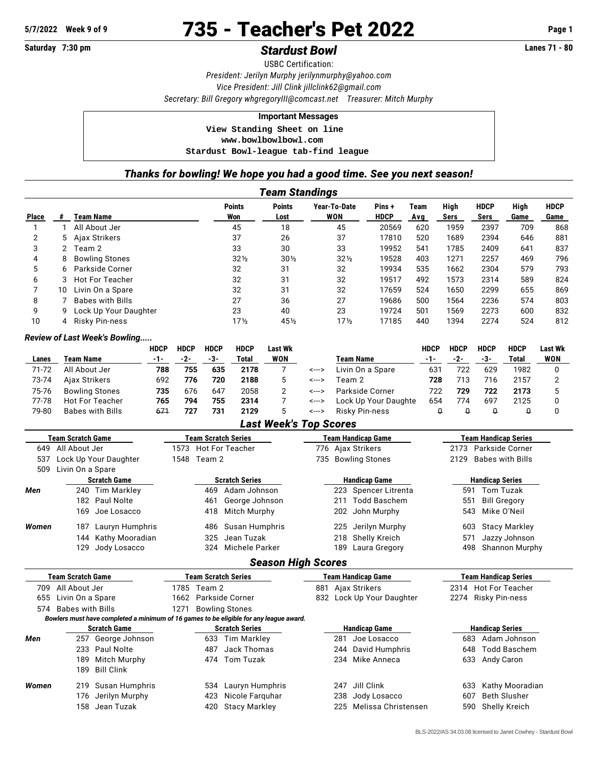**Saturday 7:30 pm Stardust Bowl** 

# **5/7/2022** Week 9 of 9 **735 - Teacher's Pet 2022** Page 1<br> **Saturday 7:30 pm**

USBC Certification: *President: Jerilyn Murphy [jerilynmurphy@yahoo.com](mailto:jerilynmurphy@yahoo.com) Vice President: Jill Clink [jillclink62@gmail.com](mailto:jillclink62@gmail.com) Secretary: Bill Gregory [whgregoryIII@comcast.net](mailto:whgregoryIII@comcast.net) Treasurer: Mitch Murphy*

#### **Important Messages**

 **View Standing Sheet on line <www.bowlbowlbowl.com> Stardust Bowl-league tab-find league**

## *Thanks for bowling! We hope you had a good time. See you next season!*

|              | <b>Team Standings</b> |                         |                      |                       |                     |                      |             |              |                     |              |                     |  |
|--------------|-----------------------|-------------------------|----------------------|-----------------------|---------------------|----------------------|-------------|--------------|---------------------|--------------|---------------------|--|
| <b>Place</b> |                       | Team Name               | <b>Points</b><br>Won | <b>Points</b><br>Lost | Year-To-Date<br>WON | Pins+<br><b>HDCP</b> | Team<br>Avg | High<br>Sers | <b>HDCP</b><br>Sers | High<br>Game | <b>HDCP</b><br>Game |  |
|              |                       | All About Jer           | 45                   | 18                    | 45                  | 20569                | 620         | 1959         | 2397                | 709          | 868                 |  |
| 2            | 5.                    | Ajax Strikers           | 37                   | 26                    | 37                  | 17810                | 520         | 1689         | 2394                | 646          | 881                 |  |
| 3            | 2                     | Team 2                  | 33                   | 30                    | 33                  | 19952                | 541         | 1785         | 2409                | 641          | 837                 |  |
| 4            | 8                     | <b>Bowling Stones</b>   | $32\frac{1}{2}$      | $30\%$                | $32\frac{1}{2}$     | 19528                | 403         | 1271         | 2257                | 469          | 796                 |  |
| 5            | 6.                    | Parkside Corner         | 32                   | 31                    | 32                  | 19934                | 535         | 1662         | 2304                | 579          | 793                 |  |
| 6            | 3                     | <b>Hot For Teacher</b>  | 32                   | 31                    | 32                  | 19517                | 492         | 1573         | 2314                | 589          | 824                 |  |
|              | 10                    | Livin On a Spare        | 32                   | 31                    | 32                  | 17659                | 524         | 1650         | 2299                | 655          | 869                 |  |
| 8            |                       | <b>Babes with Bills</b> | 27                   | 36                    | 27                  | 19686                | 500         | 1564         | 2236                | 574          | 803                 |  |
| 9            | 9                     | Lock Up Your Daughter   | 23                   | 40                    | 23                  | 19724                | 501         | 1569         | 2273                | 600          | 832                 |  |
| 10           | 4                     | <b>Risky Pin-ness</b>   | 17 <sub>2</sub>      | 45½                   | $17\frac{1}{2}$     | 17185                | 440         | 1394         | 2274                | 524          | 812                 |  |

#### *Review of Last Week's Bowling.....*

|       |                       | <b>HDCP</b> | HDCP | <b>HDCP</b> | <b>HDCP</b> | Last Wk |       |                      | HDCP | <b>HDCP</b> | <b>HDCP</b> | <b>HDCP</b> | Last Wk    |
|-------|-----------------------|-------------|------|-------------|-------------|---------|-------|----------------------|------|-------------|-------------|-------------|------------|
| Lanes | Team Name             | $-1-$       | -2-  | -3-         | Total       | WON     |       | <b>Team Name</b>     |      | -2-         | -3-         | Total       | <b>WON</b> |
| 71-72 | All About Jer         | 788         | 755  | 635         | 2178        |         | <---> | Livin On a Spare     | 631  | 722         | 629         | 1982        |            |
| 73-74 | Ajax Strikers         | 692         | 776  | 720         | 2188        |         | <---> | Team 2               | 728  | 713         | 716         | 2157        |            |
| 75-76 | <b>Bowling Stones</b> | 735         | 676  | 647         | 2058        |         | <---> | Parkside Corner      | 722  | 729         | 722         | 2173        |            |
| 77-78 | Hot For Teacher       | 765         | 794  | 755         | 2314        |         | <---> | Lock Up Your Daughte | 654  | 774         | 697         | 2125        |            |
| 79-80 | Babes with Bills      | 671         | 727  | 731         | 2129        |         | <---> | Risky Pin-ness       |      |             |             |             |            |

### *Last Week's Top Scores*

| <b>Team Scratch Game</b> |                       |                 | Team Scratch Series |                      |                       |     | <b>Team Handicap Game</b> | <b>Team Handicap Series</b> |                        |  |  |
|--------------------------|-----------------------|-----------------|---------------------|----------------------|-----------------------|-----|---------------------------|-----------------------------|------------------------|--|--|
| All About Jer<br>649     |                       |                 |                     | 1573 Hot For Teacher |                       |     | 776 Ajax Strikers         | 2173 Parkside Corner        |                        |  |  |
| 537                      | Lock Up Your Daughter |                 |                     | 1548 Team 2          |                       |     | 735 Bowling Stones        | 2129 Babes with Bills       |                        |  |  |
| 509                      | Livin On a Spare      |                 |                     |                      |                       |     |                           |                             |                        |  |  |
|                          | <b>Scratch Game</b>   |                 |                     |                      | <b>Scratch Series</b> |     | <b>Handicap Game</b>      |                             | <b>Handicap Series</b> |  |  |
| Men                      |                       | 240 Tim Markley |                     | 469                  | Adam Johnson          |     | 223 Spencer Litrenta      | 591                         | Tom Tuzak              |  |  |
|                          |                       | 182 Paul Nolte  |                     | 461                  | George Johnson        | 211 | Todd Baschem              | 551                         | Bill Gregory           |  |  |
|                          |                       | 169 Joe Losacco |                     | 418                  | Mitch Murphy          |     | 202 John Murphy           |                             | 543 Mike O'Neil        |  |  |
| Women                    | 187                   | Lauryn Humphris |                     |                      | 486 Susan Humphris    |     | 225 Jerilyn Murphy        |                             | 603 Stacy Markley      |  |  |
|                          | 144                   | Kathy Mooradian |                     |                      | 325 Jean Tuzak        |     | 218 Shelly Kreich         | 571                         | Jazzy Johnson          |  |  |
|                          | 129.                  | Jody Losacco    |                     |                      | 324 Michele Parker    |     | 189 Laura Gregory         |                             | 498 Shannon Murphy     |  |  |

# *Season High Scores*

| <b>Team Scratch Game</b>                                                               |                      |                    | Team Scratch Series   |                       |                      |  |               | Team Handicap Game        | <b>Team Handicap Series</b> |                     |  |  |  |
|----------------------------------------------------------------------------------------|----------------------|--------------------|-----------------------|-----------------------|----------------------|--|---------------|---------------------------|-----------------------------|---------------------|--|--|--|
| All About Jer<br>709                                                                   |                      |                    | 1785 Team 2           |                       | 881                  |  | Ajax Strikers |                           | 2314 Hot For Teacher        |                     |  |  |  |
| 655                                                                                    | Livin On a Spare     |                    |                       | 1662 Parkside Corner  |                      |  |               | 832 Lock Up Your Daughter |                             | 2274 Risky Pin-ness |  |  |  |
|                                                                                        | 574 Babes with Bills |                    | 1271                  | <b>Bowling Stones</b> |                      |  |               |                           |                             |                     |  |  |  |
| Bowlers must have completed a minimum of 16 games to be eligible for any league award. |                      |                    |                       |                       |                      |  |               |                           |                             |                     |  |  |  |
| <b>Scratch Game</b>                                                                    |                      |                    | <b>Scratch Series</b> |                       |                      |  |               | <b>Handicap Game</b>      | <b>Handicap Series</b>      |                     |  |  |  |
| Men                                                                                    | 257                  | George Johnson     |                       | 633                   | Tim Markley          |  | 281           | Joe Losacco               | 683                         | Adam Johnson        |  |  |  |
|                                                                                        |                      | 233 Paul Nolte     |                       | 487                   | Jack Thomas          |  |               | 244 David Humphris        | 648                         | Todd Baschem        |  |  |  |
|                                                                                        | 189                  | Mitch Murphy       |                       |                       | 474 Tom Tuzak        |  |               | 234 Mike Anneca           | 633                         | Andy Caron          |  |  |  |
|                                                                                        | 189                  | Bill Clink         |                       |                       |                      |  |               |                           |                             |                     |  |  |  |
| Women                                                                                  | 219                  | Susan Humphris     |                       | 534                   | Lauryn Humphris      |  | 247           | Jill Clink                | 633                         | Kathy Mooradian     |  |  |  |
|                                                                                        |                      | 176 Jerilyn Murphy |                       | 423                   | Nicole Farguhar      |  | 238           | Jody Losacco              | 607                         | <b>Beth Slusher</b> |  |  |  |
|                                                                                        |                      | 158 Jean Tuzak     |                       | 420                   | <b>Stacy Markley</b> |  | 225           | Melissa Christensen       | 590                         | Shelly Kreich       |  |  |  |